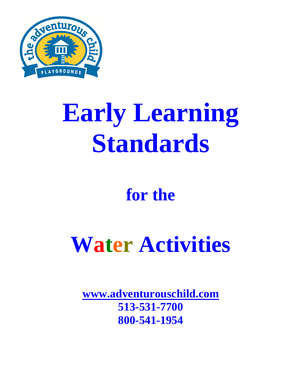

# **Early Learning Standards**

### **for the**

## **Water Activities**

**www.adventurouschild.com 513-531-7700 800-541-1954**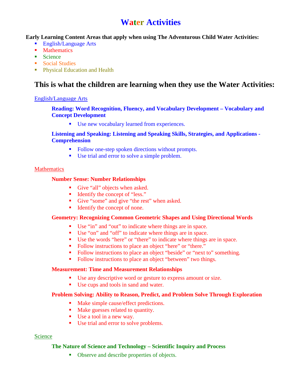#### **Water Activities**

**Early Learning Content Areas that apply when using The Adventurous Child Water Activities:** 

- English/Language Arts
- **Mathematics**
- Science
- Social Studies
- **Physical Education and Health**

#### **This is what the children are learning when they use the Water Activities:**

#### English/Language Arts

#### **Reading: Word Recognition, Fluency, and Vocabulary Development – Vocabulary and Concept Development**

Use new vocabulary learned from experiences.

#### **Listening and Speaking: Listening and Speaking Skills, Strategies, and Applications - Comprehension**

- Follow one-step spoken directions without prompts.
- Use trial and error to solve a simple problem.

#### **Mathematics**

#### **Number Sense: Number Relationships**

- Give "all" objects when asked.
- Identify the concept of "less."
- Give "some" and give "the rest" when asked.
- Identify the concept of none.

#### **Geometry: Recognizing Common Geometric Shapes and Using Directional Words**

- Use "in" and "out" to indicate where things are in space.
- Use "on" and "off" to indicate where things are in space.
- Use the words "here" or "there" to indicate where things are in space.
- Follow instructions to place an object "here" or "there."
- Follow instructions to place an object "beside" or "next to" something.
- Follow instructions to place an object "between" two things.

#### **Measurement: Time and Measurement Relationships**

- Use any descriptive word or gesture to express amount or size.
- Use cups and tools in sand and water.

#### **Problem Solving: Ability to Reason, Predict, and Problem Solve Through Exploration**

- Make simple cause/effect predictions.
- Make guesses related to quantity.
- Use a tool in a new way.
- Use trial and error to solve problems.

#### Science

#### **The Nature of Science and Technology – Scientific Inquiry and Process**

Observe and describe properties of objects.